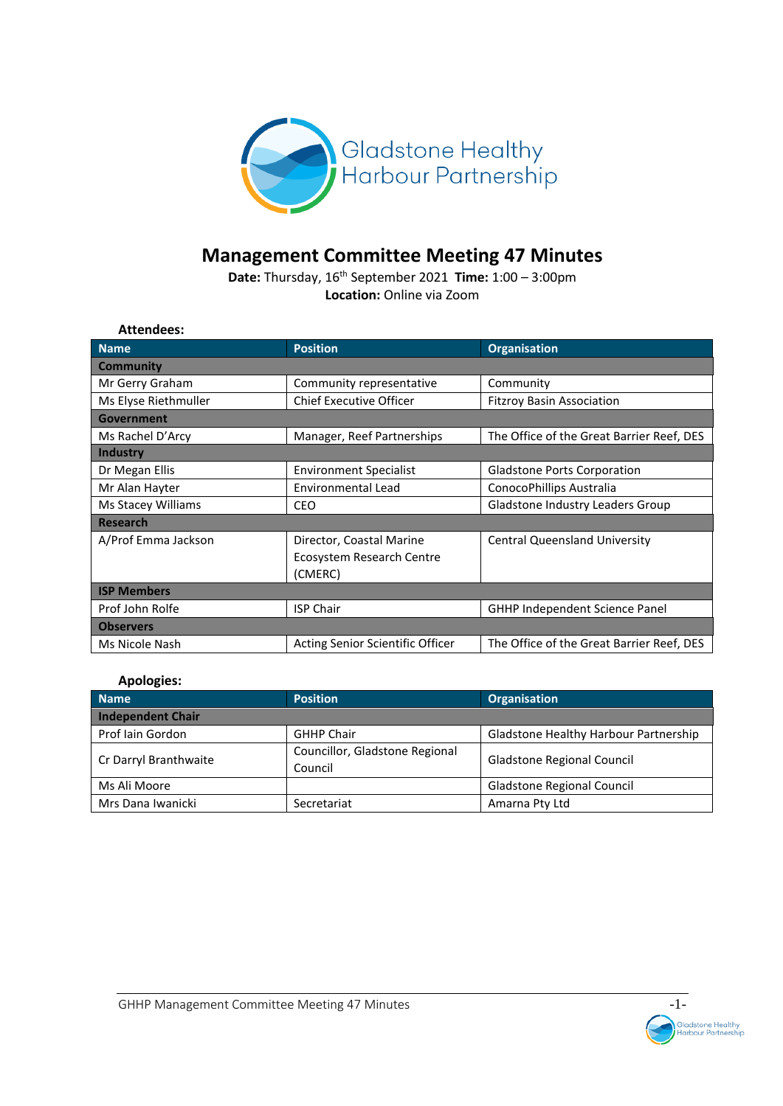

# **Management Committee Meeting 47 Minutes**

**Date:** Thursday, 16th September 2021 **Time:** 1:00 – 3:00pm **Location:** Online via Zoom

| <b>Attendees:</b>    |                                  |                                           |  |
|----------------------|----------------------------------|-------------------------------------------|--|
| <b>Name</b>          | <b>Position</b>                  | <b>Organisation</b>                       |  |
| <b>Community</b>     |                                  |                                           |  |
| Mr Gerry Graham      | Community representative         | Community                                 |  |
| Ms Elyse Riethmuller | <b>Chief Executive Officer</b>   | <b>Fitzroy Basin Association</b>          |  |
| Government           |                                  |                                           |  |
| Ms Rachel D'Arcy     | Manager, Reef Partnerships       | The Office of the Great Barrier Reef, DES |  |
| <b>Industry</b>      |                                  |                                           |  |
| Dr Megan Ellis       | <b>Environment Specialist</b>    | <b>Gladstone Ports Corporation</b>        |  |
| Mr Alan Hayter       | Environmental Lead               | ConocoPhillips Australia                  |  |
| Ms Stacey Williams   | <b>CEO</b>                       | Gladstone Industry Leaders Group          |  |
| <b>Research</b>      |                                  |                                           |  |
| A/Prof Emma Jackson  | Director, Coastal Marine         | <b>Central Queensland University</b>      |  |
|                      | Ecosystem Research Centre        |                                           |  |
|                      | (CMERC)                          |                                           |  |
| <b>ISP Members</b>   |                                  |                                           |  |
| Prof John Rolfe      | <b>ISP Chair</b>                 | <b>GHHP Independent Science Panel</b>     |  |
| <b>Observers</b>     |                                  |                                           |  |
| Ms Nicole Nash       | Acting Senior Scientific Officer | The Office of the Great Barrier Reef, DES |  |

#### **Apologies:**

| <b>Name</b>              | <b>Position</b>                           | Organisation                          |  |  |
|--------------------------|-------------------------------------------|---------------------------------------|--|--|
| <b>Independent Chair</b> |                                           |                                       |  |  |
| Prof Iain Gordon         | <b>GHHP Chair</b>                         | Gladstone Healthy Harbour Partnership |  |  |
| Cr Darryl Branthwaite    | Councillor, Gladstone Regional<br>Council | Gladstone Regional Council            |  |  |
| Ms Ali Moore             |                                           | Gladstone Regional Council            |  |  |
| Mrs Dana Iwanicki        | Secretariat                               | Amarna Pty Ltd                        |  |  |

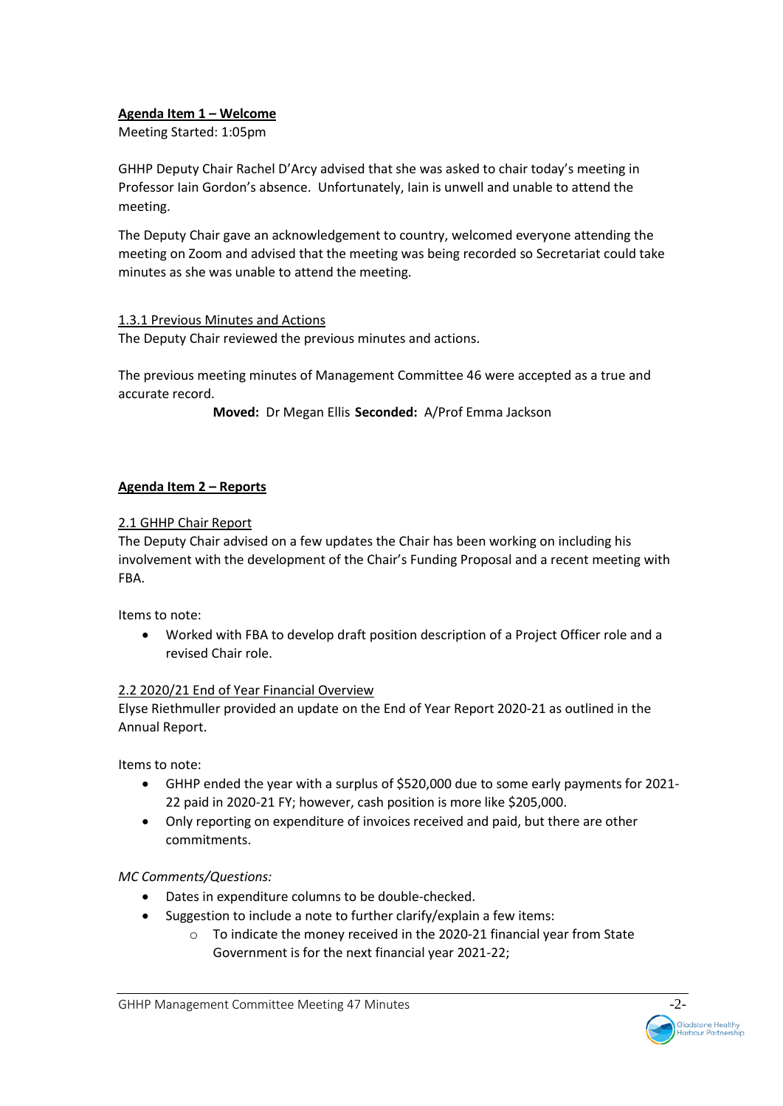## **Agenda Item 1 – Welcome**

Meeting Started: 1:05pm

GHHP Deputy Chair Rachel D'Arcy advised that she was asked to chair today's meeting in Professor Iain Gordon's absence. Unfortunately, Iain is unwell and unable to attend the meeting.

The Deputy Chair gave an acknowledgement to country, welcomed everyone attending the meeting on Zoom and advised that the meeting was being recorded so Secretariat could take minutes as she was unable to attend the meeting.

## 1.3.1 Previous Minutes and Actions

The Deputy Chair reviewed the previous minutes and actions.

The previous meeting minutes of Management Committee 46 were accepted as a true and accurate record.

**Moved:** Dr Megan Ellis **Seconded:** A/Prof Emma Jackson

## **Agenda Item 2 – Reports**

## 2.1 GHHP Chair Report

The Deputy Chair advised on a few updates the Chair has been working on including his involvement with the development of the Chair's Funding Proposal and a recent meeting with FBA.

Items to note:

• Worked with FBA to develop draft position description of a Project Officer role and a revised Chair role.

## 2.2 2020/21 End of Year Financial Overview

Elyse Riethmuller provided an update on the End of Year Report 2020-21 as outlined in the Annual Report.

Items to note:

- GHHP ended the year with a surplus of \$520,000 due to some early payments for 2021- 22 paid in 2020-21 FY; however, cash position is more like \$205,000.
- Only reporting on expenditure of invoices received and paid, but there are other commitments.

## *MC Comments/Questions:*

- Dates in expenditure columns to be double-checked.
	- Suggestion to include a note to further clarify/explain a few items:
		- o To indicate the money received in the 2020-21 financial year from State Government is for the next financial year 2021-22;

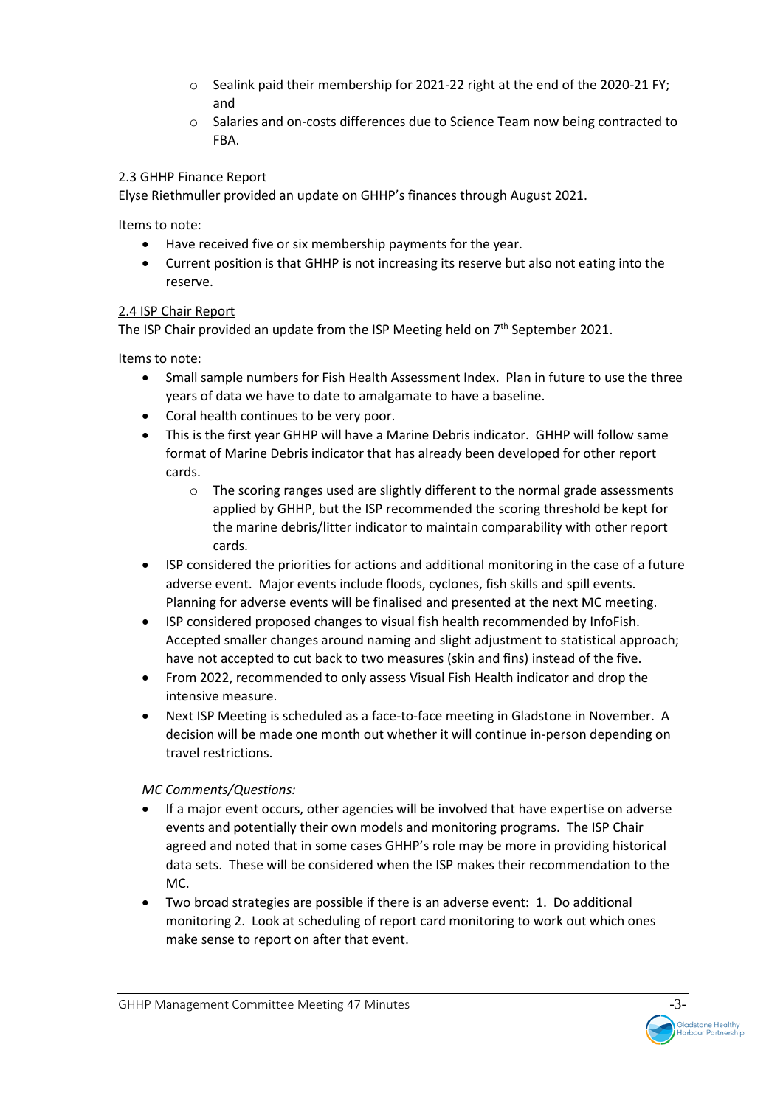- o Sealink paid their membership for 2021-22 right at the end of the 2020-21 FY; and
- o Salaries and on-costs differences due to Science Team now being contracted to FBA.

## 2.3 GHHP Finance Report

Elyse Riethmuller provided an update on GHHP's finances through August 2021.

Items to note:

- Have received five or six membership payments for the year.
- Current position is that GHHP is not increasing its reserve but also not eating into the reserve.

## 2.4 ISP Chair Report

The ISP Chair provided an update from the ISP Meeting held on  $7<sup>th</sup>$  September 2021.

Items to note:

- Small sample numbers for Fish Health Assessment Index. Plan in future to use the three years of data we have to date to amalgamate to have a baseline.
- Coral health continues to be very poor.
- This is the first year GHHP will have a Marine Debris indicator. GHHP will follow same format of Marine Debris indicator that has already been developed for other report cards.
	- o The scoring ranges used are slightly different to the normal grade assessments applied by GHHP, but the ISP recommended the scoring threshold be kept for the marine debris/litter indicator to maintain comparability with other report cards.
- ISP considered the priorities for actions and additional monitoring in the case of a future adverse event. Major events include floods, cyclones, fish skills and spill events. Planning for adverse events will be finalised and presented at the next MC meeting.
- ISP considered proposed changes to visual fish health recommended by InfoFish. Accepted smaller changes around naming and slight adjustment to statistical approach; have not accepted to cut back to two measures (skin and fins) instead of the five.
- From 2022, recommended to only assess Visual Fish Health indicator and drop the intensive measure.
- Next ISP Meeting is scheduled as a face-to-face meeting in Gladstone in November. A decision will be made one month out whether it will continue in-person depending on travel restrictions.

# *MC Comments/Questions:*

- If a major event occurs, other agencies will be involved that have expertise on adverse events and potentially their own models and monitoring programs. The ISP Chair agreed and noted that in some cases GHHP's role may be more in providing historical data sets. These will be considered when the ISP makes their recommendation to the MC.
- Two broad strategies are possible if there is an adverse event: 1. Do additional monitoring 2. Look at scheduling of report card monitoring to work out which ones make sense to report on after that event.

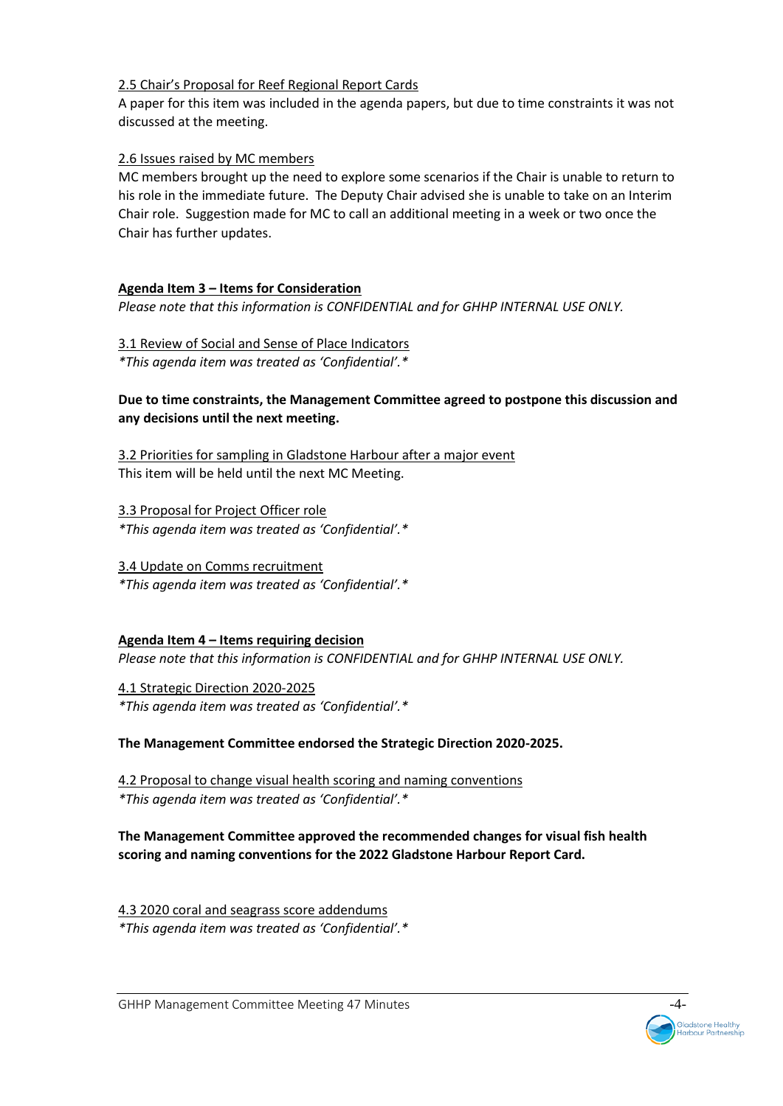## 2.5 Chair's Proposal for Reef Regional Report Cards

A paper for this item was included in the agenda papers, but due to time constraints it was not discussed at the meeting.

# 2.6 Issues raised by MC members

MC members brought up the need to explore some scenarios if the Chair is unable to return to his role in the immediate future. The Deputy Chair advised she is unable to take on an Interim Chair role. Suggestion made for MC to call an additional meeting in a week or two once the Chair has further updates.

# **Agenda Item 3 – Items for Consideration**

*Please note that this information is CONFIDENTIAL and for GHHP INTERNAL USE ONLY.* 

3.1 Review of Social and Sense of Place Indicators *\*This agenda item was treated as 'Confidential'.\**

## **Due to time constraints, the Management Committee agreed to postpone this discussion and any decisions until the next meeting.**

3.2 Priorities for sampling in Gladstone Harbour after a major event This item will be held until the next MC Meeting.

3.3 Proposal for Project Officer role *\*This agenda item was treated as 'Confidential'.\**

3.4 Update on Comms recruitment *\*This agenda item was treated as 'Confidential'.\**

# **Agenda Item 4 – Items requiring decision**

*Please note that this information is CONFIDENTIAL and for GHHP INTERNAL USE ONLY.* 

4.1 Strategic Direction 2020-2025 *\*This agenda item was treated as 'Confidential'.\**

## **The Management Committee endorsed the Strategic Direction 2020-2025.**

4.2 Proposal to change visual health scoring and naming conventions *\*This agenda item was treated as 'Confidential'.\**

**The Management Committee approved the recommended changes for visual fish health scoring and naming conventions for the 2022 Gladstone Harbour Report Card.** 

4.3 2020 coral and seagrass score addendums *\*This agenda item was treated as 'Confidential'.\**

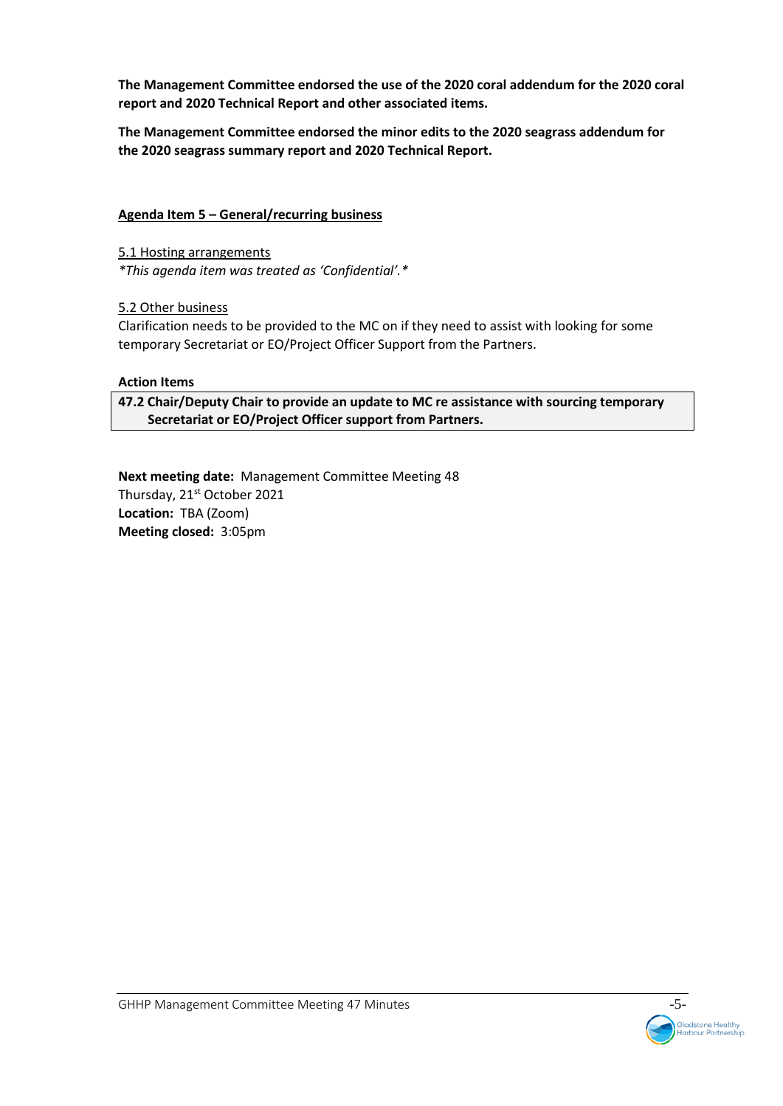**The Management Committee endorsed the use of the 2020 coral addendum for the 2020 coral report and 2020 Technical Report and other associated items.**

**The Management Committee endorsed the minor edits to the 2020 seagrass addendum for the 2020 seagrass summary report and 2020 Technical Report.** 

## **Agenda Item 5 – General/recurring business**

5.1 Hosting arrangements *\*This agenda item was treated as 'Confidential'.\**

5.2 Other business

Clarification needs to be provided to the MC on if they need to assist with looking for some temporary Secretariat or EO/Project Officer Support from the Partners.

## **Action Items**

**47.2 Chair/Deputy Chair to provide an update to MC re assistance with sourcing temporary Secretariat or EO/Project Officer support from Partners.** 

**Next meeting date:** Management Committee Meeting 48 Thursday, 21<sup>st</sup> October 2021 **Location:** TBA (Zoom) **Meeting closed:** 3:05pm

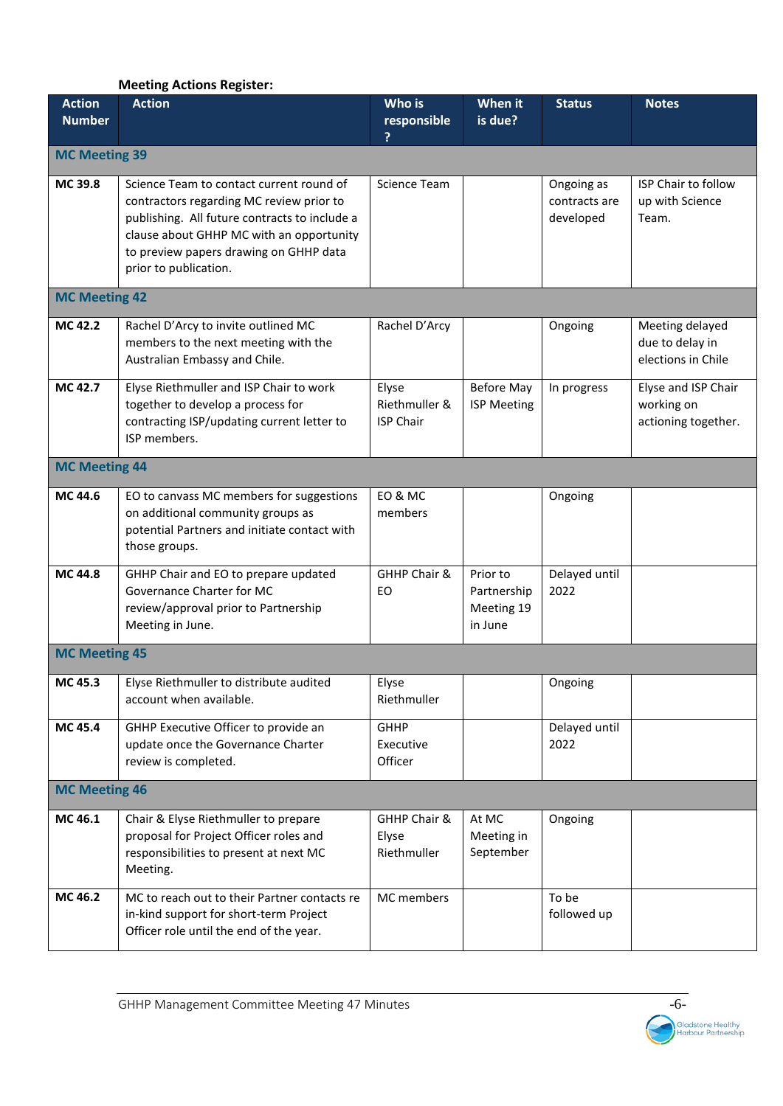## **Meeting Actions Register:**

| <b>Action</b><br><b>Number</b> | <b>Action</b>                                                                                                                                                                                                                                        | Who is<br>responsible                      | When it<br>is due?                               | <b>Status</b>                            | <b>Notes</b>                                             |
|--------------------------------|------------------------------------------------------------------------------------------------------------------------------------------------------------------------------------------------------------------------------------------------------|--------------------------------------------|--------------------------------------------------|------------------------------------------|----------------------------------------------------------|
| <b>MC Meeting 39</b>           |                                                                                                                                                                                                                                                      |                                            |                                                  |                                          |                                                          |
| MC 39.8                        | Science Team to contact current round of<br>contractors regarding MC review prior to<br>publishing. All future contracts to include a<br>clause about GHHP MC with an opportunity<br>to preview papers drawing on GHHP data<br>prior to publication. | Science Team                               |                                                  | Ongoing as<br>contracts are<br>developed | ISP Chair to follow<br>up with Science<br>Team.          |
| <b>MC Meeting 42</b>           |                                                                                                                                                                                                                                                      |                                            |                                                  |                                          |                                                          |
| MC 42.2                        | Rachel D'Arcy to invite outlined MC<br>members to the next meeting with the<br>Australian Embassy and Chile.                                                                                                                                         | Rachel D'Arcy                              |                                                  | Ongoing                                  | Meeting delayed<br>due to delay in<br>elections in Chile |
| MC 42.7                        | Elyse Riethmuller and ISP Chair to work<br>together to develop a process for<br>contracting ISP/updating current letter to<br>ISP members.                                                                                                           | Elyse<br>Riethmuller &<br><b>ISP Chair</b> | <b>Before May</b><br><b>ISP Meeting</b>          | In progress                              | Elyse and ISP Chair<br>working on<br>actioning together. |
| <b>MC Meeting 44</b>           |                                                                                                                                                                                                                                                      |                                            |                                                  |                                          |                                                          |
| MC 44.6                        | EO to canvass MC members for suggestions<br>on additional community groups as<br>potential Partners and initiate contact with<br>those groups.                                                                                                       | EO & MC<br>members                         |                                                  | Ongoing                                  |                                                          |
| MC 44.8                        | GHHP Chair and EO to prepare updated<br>Governance Charter for MC<br>review/approval prior to Partnership<br>Meeting in June.                                                                                                                        | GHHP Chair &<br>EO                         | Prior to<br>Partnership<br>Meeting 19<br>in June | Delayed until<br>2022                    |                                                          |
| <b>MC Meeting 45</b>           |                                                                                                                                                                                                                                                      |                                            |                                                  |                                          |                                                          |
| MC 45.3                        | Elyse Riethmuller to distribute audited<br>account when available.                                                                                                                                                                                   | Elyse<br>Riethmuller                       |                                                  | Ongoing                                  |                                                          |
| MC 45.4                        | GHHP Executive Officer to provide an<br>update once the Governance Charter<br>review is completed.                                                                                                                                                   | <b>GHHP</b><br>Executive<br>Officer        |                                                  | Delayed until<br>2022                    |                                                          |
| <b>MC Meeting 46</b>           |                                                                                                                                                                                                                                                      |                                            |                                                  |                                          |                                                          |
| MC 46.1                        | Chair & Elyse Riethmuller to prepare<br>proposal for Project Officer roles and<br>responsibilities to present at next MC<br>Meeting.                                                                                                                 | GHHP Chair &<br>Elyse<br>Riethmuller       | At MC<br>Meeting in<br>September                 | Ongoing                                  |                                                          |
| MC 46.2                        | MC to reach out to their Partner contacts re<br>in-kind support for short-term Project<br>Officer role until the end of the year.                                                                                                                    | MC members                                 |                                                  | To be<br>followed up                     |                                                          |